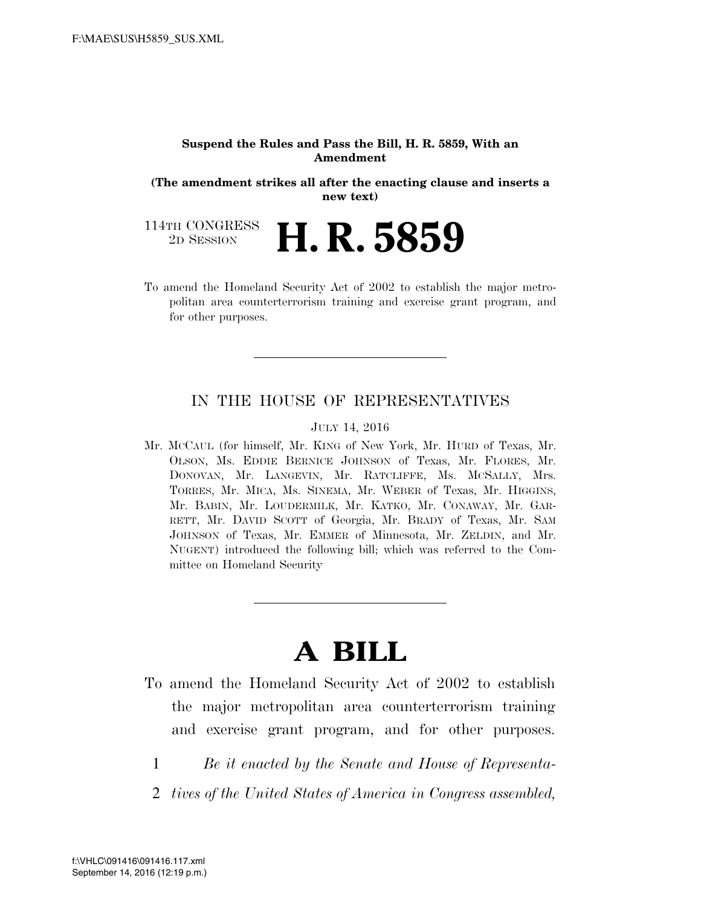#### **Suspend the Rules and Pass the Bill, H. R. 5859, With an Amendment**

**(The amendment strikes all after the enacting clause and inserts a new text)** 

114TH CONGRESS<br>2D SESSION 2D SESSION **H. R. 5859** 

To amend the Homeland Security Act of 2002 to establish the major metropolitan area counterterrorism training and exercise grant program, and for other purposes.

## IN THE HOUSE OF REPRESENTATIVES

### JULY 14, 2016

Mr. MCCAUL (for himself, Mr. KING of New York, Mr. HURD of Texas, Mr. OLSON, Ms. EDDIE BERNICE JOHNSON of Texas, Mr. FLORES, Mr. DONOVAN, Mr. LANGEVIN, Mr. RATCLIFFE, Ms. MCSALLY, Mrs. TORRES, Mr. MICA, Ms. SINEMA, Mr. WEBER of Texas, Mr. HIGGINS, Mr. BABIN, Mr. LOUDERMILK, Mr. KATKO, Mr. CONAWAY, Mr. GAR-RETT, Mr. DAVID SCOTT of Georgia, Mr. BRADY of Texas, Mr. SAM JOHNSON of Texas, Mr. EMMER of Minnesota, Mr. ZELDIN, and Mr. NUGENT) introduced the following bill; which was referred to the Committee on Homeland Security

# **A BILL**

- To amend the Homeland Security Act of 2002 to establish the major metropolitan area counterterrorism training and exercise grant program, and for other purposes.
	- 1 *Be it enacted by the Senate and House of Representa-*
	- 2 *tives of the United States of America in Congress assembled,*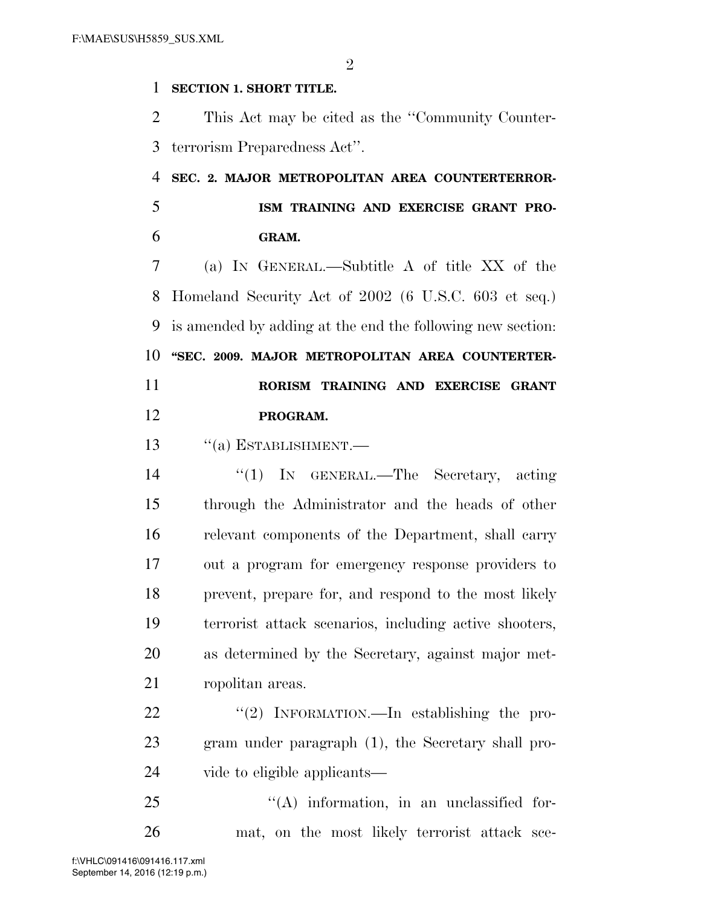$\mathfrak{D}$ 

## **SECTION 1. SHORT TITLE.**

 This Act may be cited as the ''Community Counter-terrorism Preparedness Act''.

# **SEC. 2. MAJOR METROPOLITAN AREA COUNTERTERROR-**

 **ISM TRAINING AND EXERCISE GRANT PRO-GRAM.** 

 (a) IN GENERAL.—Subtitle A of title XX of the Homeland Security Act of 2002 (6 U.S.C. 603 et seq.) is amended by adding at the end the following new section: **''SEC. 2009. MAJOR METROPOLITAN AREA COUNTERTER-RORISM TRAINING AND EXERCISE GRANT** 

- **PROGRAM.**
- 13  $\frac{1}{2}$   $\frac{1}{2}$  ESTABLISHMENT.

 ''(1) IN GENERAL.—The Secretary, acting through the Administrator and the heads of other relevant components of the Department, shall carry out a program for emergency response providers to prevent, prepare for, and respond to the most likely terrorist attack scenarios, including active shooters, as determined by the Secretary, against major met-ropolitan areas.

22 "(2) INFORMATION.—In establishing the pro- gram under paragraph (1), the Secretary shall pro-vide to eligible applicants—

25 "(A) information, in an unclassified for-mat, on the most likely terrorist attack sce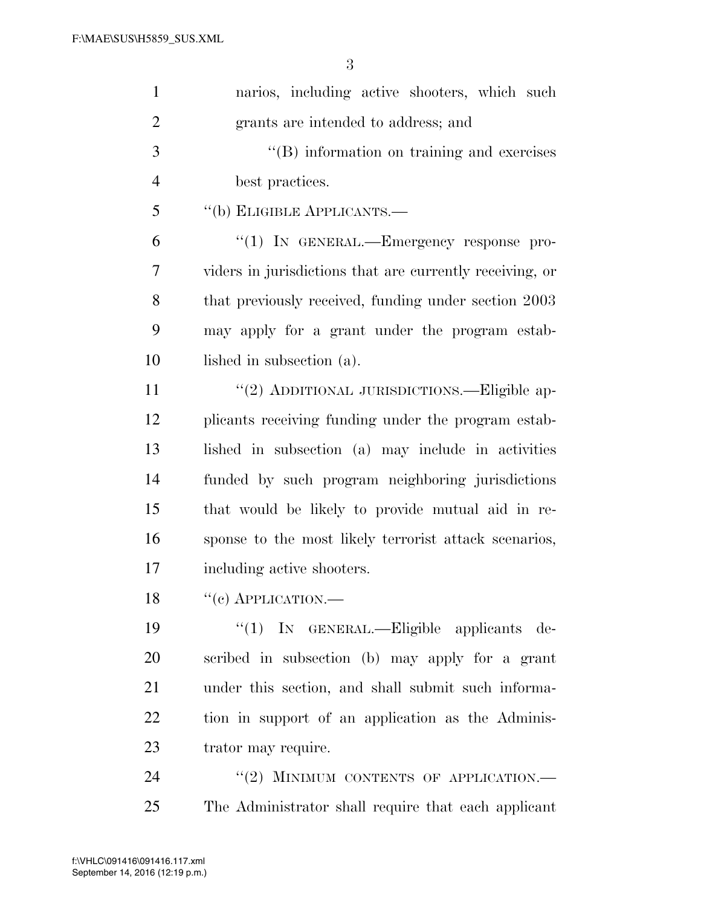| $\mathbf{1}$   | narios, including active shooters, which such            |
|----------------|----------------------------------------------------------|
| $\overline{2}$ | grants are intended to address; and                      |
| 3              | $\lq\lq$ (B) information on training and exercises       |
| $\overline{4}$ | best practices.                                          |
| 5              | "(b) ELIGIBLE APPLICANTS.—                               |
| 6              | " $(1)$ In GENERAL.—Emergency response pro-              |
| 7              | viders in jurisdictions that are currently receiving, or |
| 8              | that previously received, funding under section 2003     |
| 9              | may apply for a grant under the program estab-           |
| 10             | lished in subsection (a).                                |
| 11             | "(2) ADDITIONAL JURISDICTIONS.—Eligible ap-              |
| 12             | plicants receiving funding under the program estab-      |
| 13             | lished in subsection (a) may include in activities       |
| 14             | funded by such program neighboring jurisdictions         |
| 15             | that would be likely to provide mutual aid in re-        |
| 16             | sponse to the most likely terrorist attack scenarios,    |
| 17             | including active shooters.                               |
| 18             | $``(e)$ APPLICATION.—                                    |
| 19             | "(1) IN GENERAL.—Eligible applicants de-                 |
| 20             | scribed in subsection (b) may apply for a grant          |
| 21             | under this section, and shall submit such informa-       |
| 22             | tion in support of an application as the Adminis-        |
| 23             | trator may require.                                      |
| 24             | "(2) MINIMUM CONTENTS OF APPLICATION.-                   |
| 25             | The Administrator shall require that each applicant      |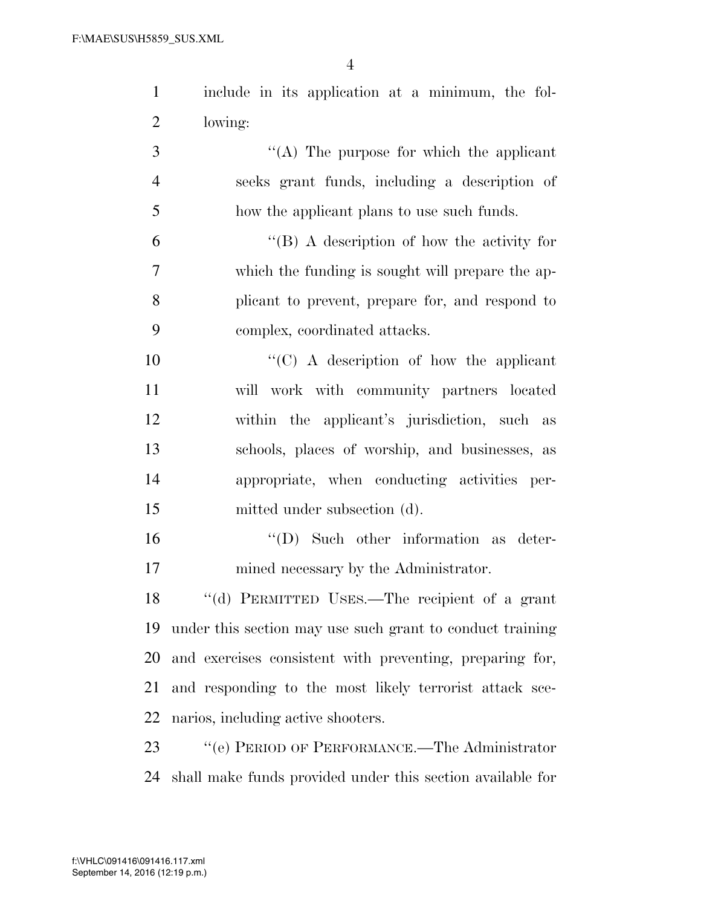| $\mathbf{1}$   | include in its application at a minimum, the fol-         |
|----------------|-----------------------------------------------------------|
| $\overline{2}$ | lowing:                                                   |
| 3              | "(A) The purpose for which the applicant                  |
| $\overline{4}$ | seeks grant funds, including a description of             |
| 5              | how the applicant plans to use such funds.                |
| 6              | "(B) A description of how the activity for                |
| 7              | which the funding is sought will prepare the ap-          |
| 8              | plicant to prevent, prepare for, and respond to           |
| 9              | complex, coordinated attacks.                             |
| 10             | "(C) A description of how the applicant                   |
| 11             | will work with community partners located                 |
| 12             | within the applicant's jurisdiction, such as              |
| 13             | schools, places of worship, and businesses, as            |
| 14             | appropriate, when conducting activities per-              |
| 15             | mitted under subsection (d).                              |
| 16             | $\lq\lq$ (D) Such other information as deter-             |
| 17             | mined necessary by the Administrator.                     |
| 18             | "(d) PERMITTED USES.—The recipient of a grant             |
| 19             | under this section may use such grant to conduct training |
| 20             | and exercises consistent with preventing, preparing for,  |
| 21             | and responding to the most likely terrorist attack sce-   |
|                |                                                           |

narios, including active shooters.

23 "'(e) PERIOD OF PERFORMANCE.—The Administrator shall make funds provided under this section available for